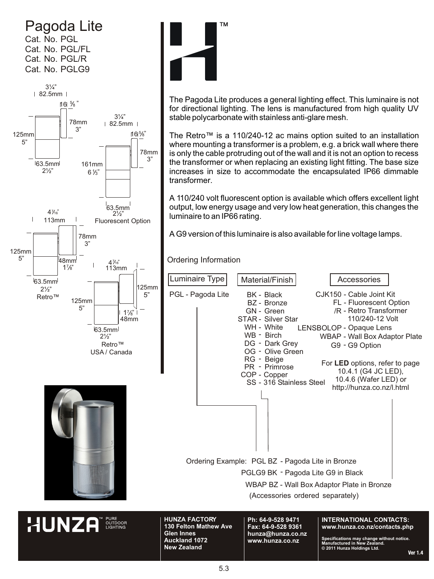## Pagoda Lite

Cat. No. PGL Cat. No. PGL/FL Cat. No. PGL/R Cat. No. PGLG9





**HUNZA** 



The Pagoda Lite produces a general lighting effect. This luminaire is not for directional lighting. The lens is manufactured from high quality UV stable polycarbonate with stainless anti-glare mesh.

The Retro™ is a 110/240-12 ac mains option suited to an installation where mounting a transformer is a problem, e.g. a brick wall where there is only the cable protruding out of the wall and it is not an option to recess the transformer or when replacing an existing light fitting. The base size increases in size to accommodate the encapsulated IP66 dimmable transformer.

A 110/240 volt fluorescent option is available which offers excellent light output, low energy usage and very low heat generation, this changes the luminaire to an IP66 rating.

A G9 version of this luminaire is also available for line voltage lamps.

Ordering Information



**HUNZA FACTORY 130 Felton Mathew Ave Glen Innes Auckland 1072 New Zealand**

**Ph: 64-9-528 9471 Fax: 64-9-528 9361 hunza@hunza.co.nz www.hunza.co.nz**

**INTERNATIONAL CONTACTS: www.hunza.co.nz/contacts.php**

**Specifications may change without notice. Manufactured in New Zealand. © 2011 Hunza Holdings Ltd.** Ver  $14$